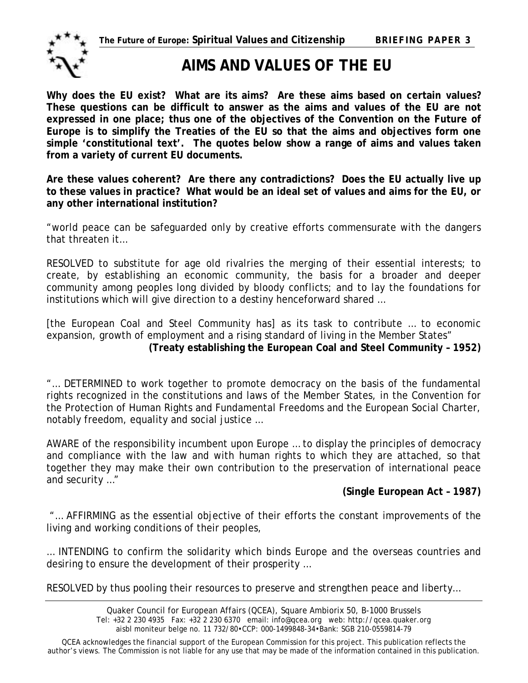

# **AIMS AND VALUES OF THE EU**

**Why does the EU exist? What are its aims? Are these aims based on certain values? These questions can be difficult to answer as the aims and values of the EU are not expressed in one place; thus one of the objectives of the Convention on the Future of Europe is to simplify the Treaties of the EU so that the aims and objectives form one simple 'constitutional text'. The quotes below show a range of aims and values taken from a variety of current EU documents.** 

**Are these values coherent? Are there any contradictions? Does the EU actually live up to these values in practice? What would be an ideal set of values and aims for the EU, or any other international institution?** 

"world peace can be safeguarded only by creative efforts commensurate with the dangers that threaten it…

RESOLVED to substitute for age old rivalries the merging of their essential interests; to create, by establishing an economic community, the basis for a broader and deeper community among peoples long divided by bloody conflicts; and to lay the foundations for institutions which will give direction to a destiny henceforward shared …

[the European Coal and Steel Community has] as its task to contribute … to economic expansion, growth of employment and a rising standard of living in the Member States" **(Treaty establishing the European Coal and Steel Community – 1952)** 

"… DETERMINED to work together to promote democracy on the basis of the fundamental rights recognized in the constitutions and laws of the Member States, in the Convention for the Protection of Human Rights and Fundamental Freedoms and the European Social Charter, notably freedom, equality and social justice …

AWARE of the responsibility incumbent upon Europe … to display the principles of democracy and compliance with the law and with human rights to which they are attached, so that together they may make their own contribution to the preservation of international peace and security …"

## **(Single European Act – 1987)**

"… AFFIRMING as the essential objective of their efforts the constant improvements of the living and working conditions of their peoples,

… INTENDING to confirm the solidarity which binds Europe and the overseas countries and desiring to ensure the development of their prosperity …

RESOLVED by thus pooling their resources to preserve and strengthen peace and liberty…

QCEA acknowledges the financial support of the European Commission for this project. This publication reflects the author's views. The Commission is not liable for any use that may be made of the information contained in this publication.